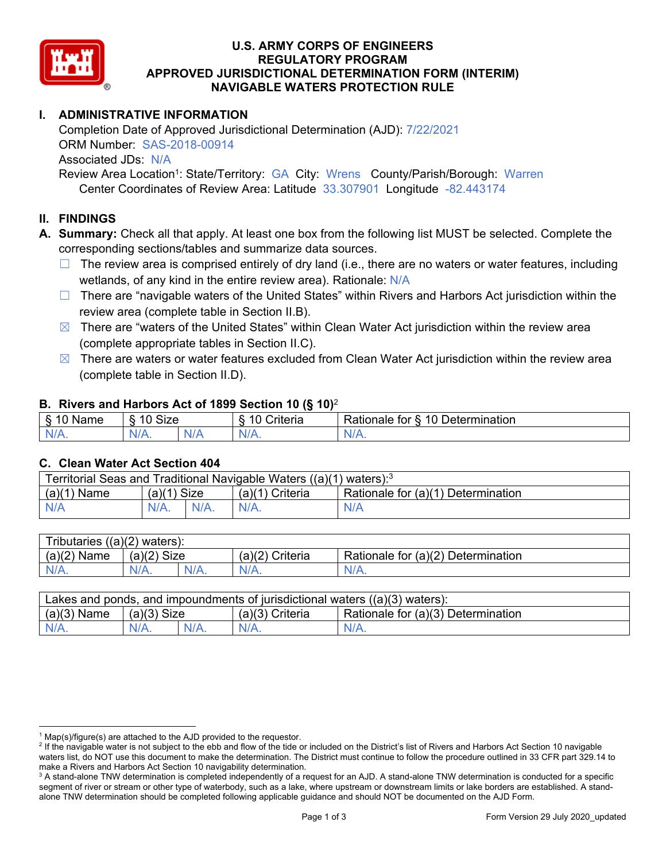

### **U.S. ARMY CORPS OF ENGINEERS REGULATORY PROGRAM APPROVED JURISDICTIONAL DETERMINATION FORM (INTERIM) NAVIGABLE WATERS PROTECTION RULE**

# **I. ADMINISTRATIVE INFORMATION**

Completion Date of Approved Jurisdictional Determination (AJD): 7/22/2021 ORM Number: SAS-2018-00914 Associated JDs: N/A Review Area Location<sup>1</sup>: State/Territory: GA City: Wrens County/Parish/Borough: Warren

Center Coordinates of Review Area: Latitude 33.307901 Longitude -82.443174

### **II. FINDINGS**

 corresponding sections/tables and summarize data sources. **A. Summary:** Check all that apply. At least one box from the following list MUST be selected. Complete the

- $\Box$  The review area is comprised entirely of dry land (i.e., there are no waters or water features, including wetlands, of any kind in the entire review area). Rationale: N/A
- □ There are "navigable waters of the United States" within Rivers and Harbors Act jurisdiction within the review area (complete table in Section II.B).
- $\boxtimes$  There are "waters of the United States" within Clean Water Act jurisdiction within the review area (complete appropriate tables in Section II.C).
- $\boxtimes$  There are waters or water features excluded from Clean Water Act jurisdiction within the review area (complete table in Section II.D).

#### **B. Rivers and Harbors Act of 1899 Section 10 (§ 10)**<sup>2</sup>

| $\cdot$                                |                   |         |                                           |                                      |  |
|----------------------------------------|-------------------|---------|-------------------------------------------|--------------------------------------|--|
| $\sim$<br>N <sub>nm</sub><br>anne<br>╰ | <b>Size</b><br>10 |         | .<br>10<br>$"$ ritorio<br><b>AILCII</b> a | 10 Determination<br>tor<br>≺atıonale |  |
| $N/A$ .                                | w<br>97 A .       | N7<br>. | $N/A$ .                                   | N/A.                                 |  |

#### **C. Clean Water Act Section 404**

| Territorial Seas and Traditional Navigable Waters ((a)(1) waters): <sup>3</sup> |               |         |                   |                                    |  |
|---------------------------------------------------------------------------------|---------------|---------|-------------------|------------------------------------|--|
| $(a)(1)$ Name                                                                   | $(a)(1)$ Size |         | $(a)(1)$ Criteria | Rationale for (a)(1) Determination |  |
| N/A                                                                             | $N/A$ .       | $N/A$ . | $N/A$ .           | N/A                                |  |

| <b>Tributaries</b><br>$( (a)(2)$ waters): |               |         |                    |                                    |  |
|-------------------------------------------|---------------|---------|--------------------|------------------------------------|--|
| (a)(2)<br>Name                            | $(a)(2)$ Size |         | (a)(2)<br>Criteria | Rationale for (a)(2) Determination |  |
| N/A.                                      | $N/A$ .       | $N/A$ . | $N/A$ .            | $N/A$ .                            |  |

| Lakes and ponds, and impoundments of jurisdictional waters $((a)(3)$ waters): |               |         |                 |                                    |  |
|-------------------------------------------------------------------------------|---------------|---------|-----------------|------------------------------------|--|
| $(a)(3)$ Name                                                                 | $(a)(3)$ Size |         | (a)(3) Criteria | Rationale for (a)(3) Determination |  |
| $N/A$ .                                                                       |               | $N/A$ . | $N/A$ .         | $N/A$ .                            |  |

<sup>&</sup>lt;sup>1</sup> Map(s)/figure(s) are attached to the AJD provided to the requestor.<br><sup>2</sup> If the navigable water is not subject to the ebb and flow of the tide o

<sup>&</sup>lt;sup>2</sup> If the navigable water is not subject to the ebb and flow of the tide or included on the District's list of Rivers and Harbors Act Section 10 navigable waters list, do NOT use this document to make the determination. The District must continue to follow the procedure outlined in 33 CFR part 329.14 to make a Rivers and Harbors Act Section 10 navigability determination.

 $^3$  A stand-alone TNW determination is completed independently of a request for an AJD. A stand-alone TNW determination is conducted for a specific segment of river or stream or other type of waterbody, such as a lake, where upstream or downstream limits or lake borders are established. A standalone TNW determination should be completed following applicable guidance and should NOT be documented on the AJD Form.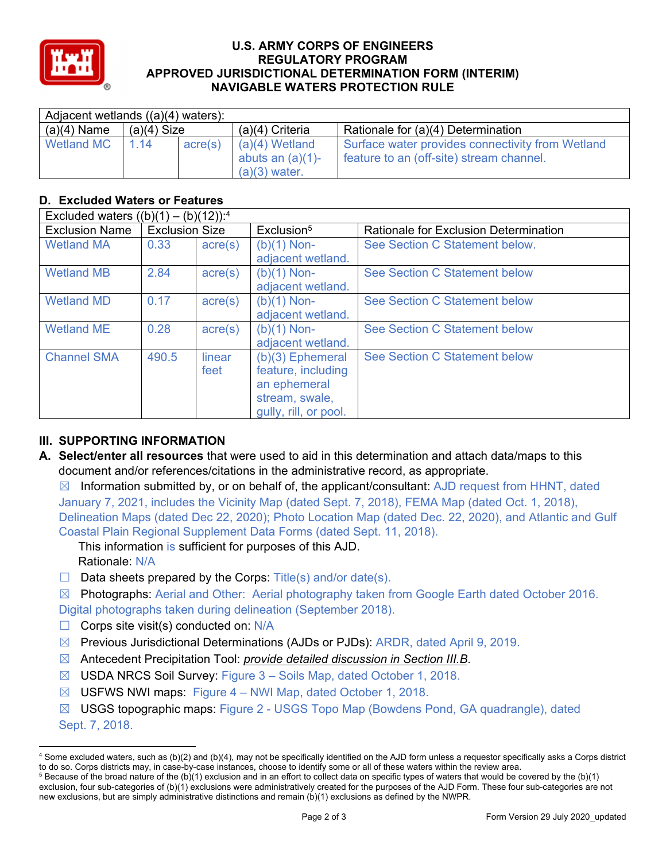

### **U.S. ARMY CORPS OF ENGINEERS REGULATORY PROGRAM APPROVED JURISDICTIONAL DETERMINATION FORM (INTERIM) NAVIGABLE WATERS PROTECTION RULE**

| Adjacent wetlands ((a)(4) waters): |               |         |                                                            |                                                                                              |  |  |
|------------------------------------|---------------|---------|------------------------------------------------------------|----------------------------------------------------------------------------------------------|--|--|
| $(a)(4)$ Name                      | $(a)(4)$ Size |         | $(a)(4)$ Criteria                                          | Rationale for (a)(4) Determination                                                           |  |  |
| <b>Wetland MC</b>                  | 1 14          | acre(s) | $(a)(4)$ Wetland<br>abuts an $(a)(1)$ -<br>$(a)(3)$ water. | Surface water provides connectivity from Wetland<br>feature to an (off-site) stream channel. |  |  |

## **D. Excluded Waters or Features**

| Excluded waters $((b)(1) - (b)(12))$ : <sup>4</sup> |                       |                  |                                                                                                     |                                       |  |  |
|-----------------------------------------------------|-----------------------|------------------|-----------------------------------------------------------------------------------------------------|---------------------------------------|--|--|
| <b>Exclusion Name</b>                               | <b>Exclusion Size</b> |                  | Exclusion <sup>5</sup>                                                                              | Rationale for Exclusion Determination |  |  |
| <b>Wetland MA</b>                                   | 0.33                  | $\text{acre}(s)$ | $(b)(1)$ Non-<br>adjacent wetland.                                                                  | See Section C Statement below.        |  |  |
| <b>Wetland MB</b>                                   | 2.84                  | $\text{acre}(s)$ | $(b)(1)$ Non-<br>adjacent wetland.                                                                  | See Section C Statement below         |  |  |
| <b>Wetland MD</b>                                   | 0.17                  | $\text{acre}(s)$ | $(b)(1)$ Non-<br>adjacent wetland.                                                                  | See Section C Statement below         |  |  |
| <b>Wetland ME</b>                                   | 0.28                  | acre(s)          | $(b)(1)$ Non-<br>adjacent wetland.                                                                  | See Section C Statement below         |  |  |
| <b>Channel SMA</b>                                  | 490.5                 | linear<br>feet   | $(b)(3)$ Ephemeral<br>feature, including<br>an ephemeral<br>stream, swale,<br>gully, rill, or pool. | <b>See Section C Statement below</b>  |  |  |

## **III. SUPPORTING INFORMATION**

**A. Select/enter all resources** that were used to aid in this determination and attach data/maps to this document and/or references/citations in the administrative record, as appropriate.

 $\boxtimes$  Information submitted by, or on behalf of, the applicant/consultant: AJD request from HHNT, dated January 7, 2021, includes the Vicinity Map (dated Sept. 7, 2018), FEMA Map (dated Oct. 1, 2018), Delineation Maps (dated Dec 22, 2020); Photo Location Map (dated Dec. 22, 2020), and Atlantic and Gulf Coastal Plain Regional Supplement Data Forms (dated Sept. 11, 2018).

This information is sufficient for purposes of this AJD. Rationale: N/A

 $\Box$  Data sheets prepared by the Corps: Title(s) and/or date(s).

 ☒ Photographs: Aerial and Other: Aerial photography taken from Google Earth dated October 2016. Digital photographs taken during delineation (September 2018).

- $\Box$  Corps site visit(s) conducted on: N/A
- ☒ Previous Jurisdictional Determinations (AJDs or PJDs): ARDR, dated April 9, 2019.
- ☒ Antecedent Precipitation Tool: *provide detailed discussion in Section III.B*.
- ☒ USDA NRCS Soil Survey: Figure 3 Soils Map, dated October 1, 2018.
- ☒ USFWS NWI maps: Figure 4 NWI Map, dated October 1, 2018.
- ☒ USGS topographic maps: Figure 2 USGS Topo Map (Bowdens Pond, GA quadrangle), dated Sept. 7, 2018.

<sup>4</sup> Some excluded waters, such as (b)(2) and (b)(4), may not be specifically identified on the AJD form unless a requestor specifically asks a Corps district to do so. Corps districts may, in case-by-case instances, choose to identify some or all of these waters within the review area. 5  $5$  Because of the broad nature of the (b)(1) exclusion and in an effort to collect data on specific types of waters that would be covered by the (b)(1)

exclusion, four sub-categories of (b)(1) exclusions were administratively created for the purposes of the AJD Form. These four sub-categories are not new exclusions, but are simply administrative distinctions and remain (b)(1) exclusions as defined by the NWPR.